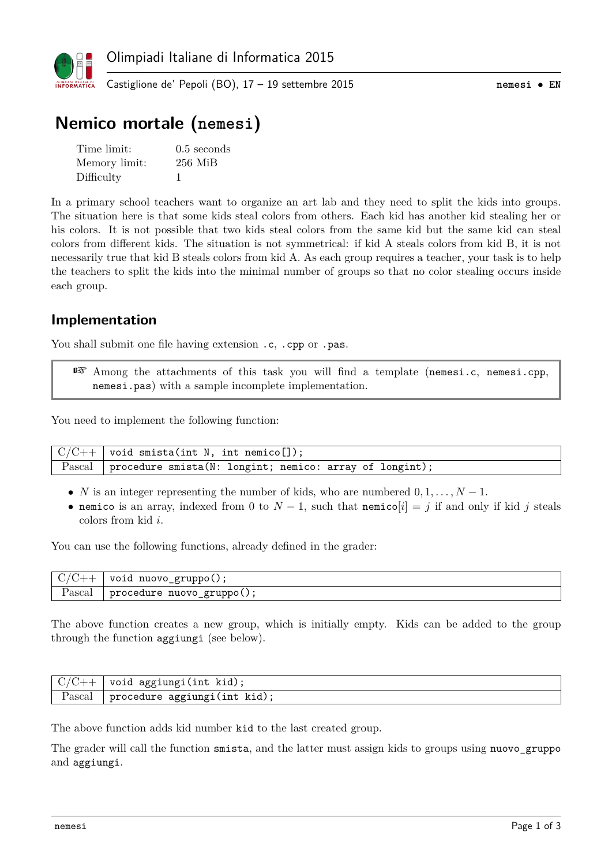

# **Nemico mortale (nemesi)**

| Time limit:   | $0.5$ seconds |
|---------------|---------------|
| Memory limit: | $256$ MiB     |
| Difficulty    |               |

In a primary school teachers want to organize an art lab and they need to split the kids into groups. The situation here is that some kids steal colors from others. Each kid has another kid stealing her or his colors. It is not possible that two kids steal colors from the same kid but the same kid can steal colors from different kids. The situation is not symmetrical: if kid A steals colors from kid B, it is not necessarily true that kid B steals colors from kid A. As each group requires a teacher, your task is to help the teachers to split the kids into the minimal number of groups so that no color stealing occurs inside each group.

#### **Implementation**

You shall submit one file having extension .c, .cpp or .pas.

☞ Among the attachments of this task you will find a template (nemesi.c, nemesi.cpp, nemesi.pas) with a sample incomplete implementation.

You need to implement the following function:

 $C/C++$  void smista(int N, int nemico[]); Pascal procedure smista(N: longint; nemico: array of longint);

- *N* is an integer representing the number of kids, who are numbered  $0, 1, \ldots, N-1$ .
- nemico is an array, indexed from 0 to  $N-1$ , such that nemico $[i] = j$  if and only if kid *j* steals colors from kid *i*.

You can use the following functions, already defined in the grader:

| ◡<br>◡.             | nuovo<br>gruppo()<br>voia<br>-0              |
|---------------------|----------------------------------------------|
| $\alpha$<br>r ascai | nuovo<br>$grupp_{0}( )$ ;<br>procedure<br>-0 |

The above function creates a new group, which is initially empty. Kids can be added to the group through the function aggiungi (see below).

| $/$ C++ $+$ | void aggiungi(int kid);      |
|-------------|------------------------------|
| Pascal      | procedure aggiungi(int kid), |

The above function adds kid number kid to the last created group.

The grader will call the function smista, and the latter must assign kids to groups using nuovo\_gruppo and aggiungi.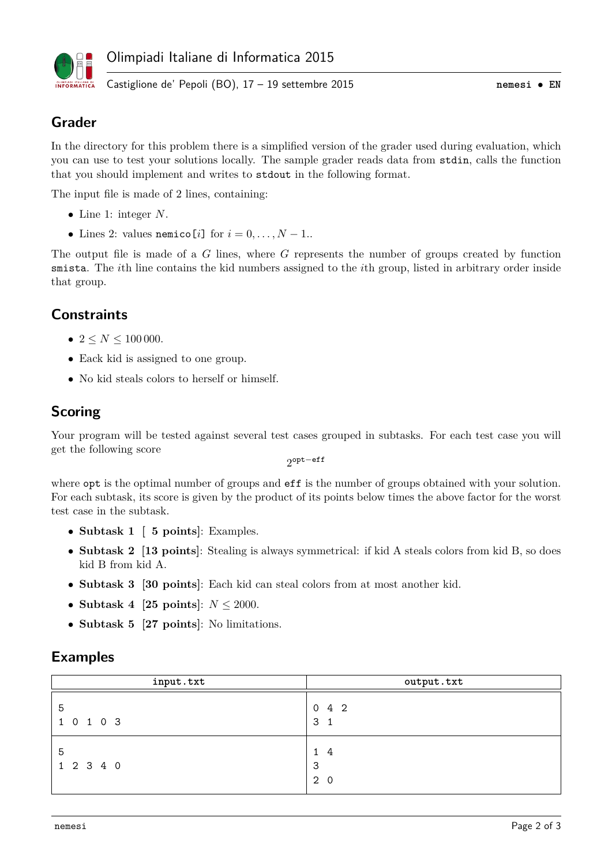

# **Grader**

In the directory for this problem there is a simplified version of the grader used during evaluation, which you can use to test your solutions locally. The sample grader reads data from stdin, calls the function that you should implement and writes to stdout in the following format.

The input file is made of 2 lines, containing:

- Line 1: integer *N*.
- Lines 2: values nemico[*i*] for  $i = 0, \ldots, N 1$ .

The output file is made of a *G* lines, where *G* represents the number of groups created by function smista. The *i*th line contains the kid numbers assigned to the *i*th group, listed in arbitrary order inside that group.

### **Constraints**

- $2 \le N \le 100000$ .
- Eack kid is assigned to one group.
- No kid steals colors to herself or himself.

#### **Scoring**

Your program will be tested against several test cases grouped in subtasks. For each test case you will get the following score

2 opt−eff

where  $opt$  is the optimal number of groups and  $eff$  is the number of groups obtained with your solution. For each subtask, its score is given by the product of its points below times the above factor for the worst test case in the subtask.

- **Subtask 1 [ 5 points]**: Examples.
- **Subtask 2 [13 points]**: Stealing is always symmetrical: if kid A steals colors from kid B, so does kid B from kid A.
- **Subtask 3 [30 points]**: Each kid can steal colors from at most another kid.
- **Subtask 4 [25 points]**: *N* ≤ 2000.
- **Subtask 5 [27 points]**: No limitations.

#### **Examples**

| input.txt      | output.txt                      |
|----------------|---------------------------------|
| 5<br>1 0 1 0 3 | $0 \t 4 \t 2$<br>3 <sub>1</sub> |
| 5<br>1 2 3 4 0 | 14<br>3<br>2 0                  |